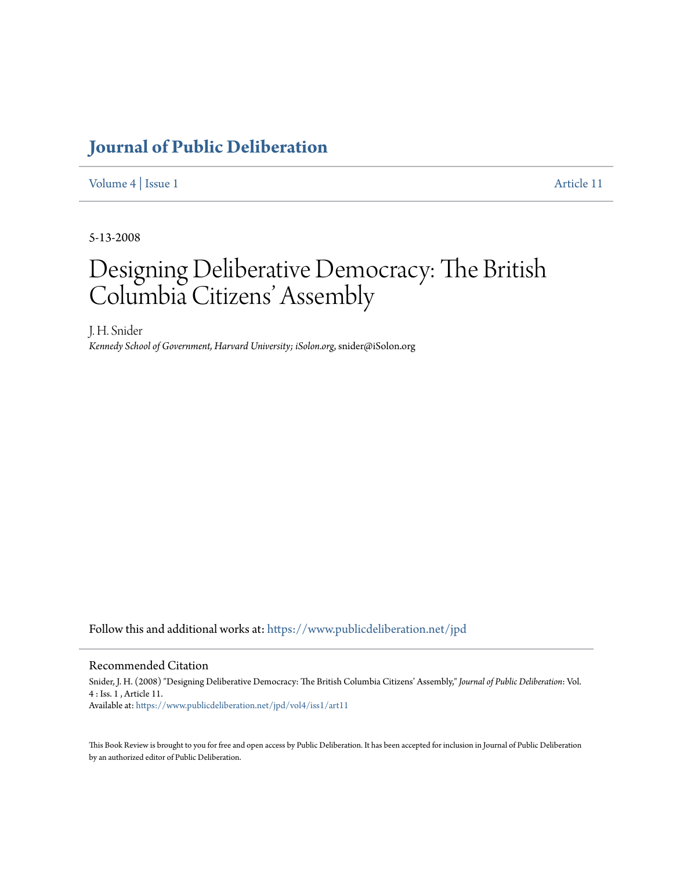## **[Journal of Public Deliberation](https://www.publicdeliberation.net/jpd?utm_source=www.publicdeliberation.net%2Fjpd%2Fvol4%2Fiss1%2Fart11&utm_medium=PDF&utm_campaign=PDFCoverPages)**

[Volume 4](https://www.publicdeliberation.net/jpd/vol4?utm_source=www.publicdeliberation.net%2Fjpd%2Fvol4%2Fiss1%2Fart11&utm_medium=PDF&utm_campaign=PDFCoverPages) | [Issue 1](https://www.publicdeliberation.net/jpd/vol4/iss1?utm_source=www.publicdeliberation.net%2Fjpd%2Fvol4%2Fiss1%2Fart11&utm_medium=PDF&utm_campaign=PDFCoverPages) [Article 11](https://www.publicdeliberation.net/jpd/vol4/iss1/art11?utm_source=www.publicdeliberation.net%2Fjpd%2Fvol4%2Fiss1%2Fart11&utm_medium=PDF&utm_campaign=PDFCoverPages)

5-13-2008

# Designing Deliberative Democracy: The British Columbia Citizens' Assembly

J. H. Snider *Kennedy School of Government, Harvard University; iSolon.org*, snider@iSolon.org

Follow this and additional works at: [https://www.publicdeliberation.net/jpd](https://www.publicdeliberation.net/jpd?utm_source=www.publicdeliberation.net%2Fjpd%2Fvol4%2Fiss1%2Fart11&utm_medium=PDF&utm_campaign=PDFCoverPages)

#### Recommended Citation

Snider, J. H. (2008) "Designing Deliberative Democracy: The British Columbia Citizens' Assembly," *Journal of Public Deliberation*: Vol. 4 : Iss. 1 , Article 11. Available at: [https://www.publicdeliberation.net/jpd/vol4/iss1/art11](https://www.publicdeliberation.net/jpd/vol4/iss1/art11?utm_source=www.publicdeliberation.net%2Fjpd%2Fvol4%2Fiss1%2Fart11&utm_medium=PDF&utm_campaign=PDFCoverPages)

This Book Review is brought to you for free and open access by Public Deliberation. It has been accepted for inclusion in Journal of Public Deliberation by an authorized editor of Public Deliberation.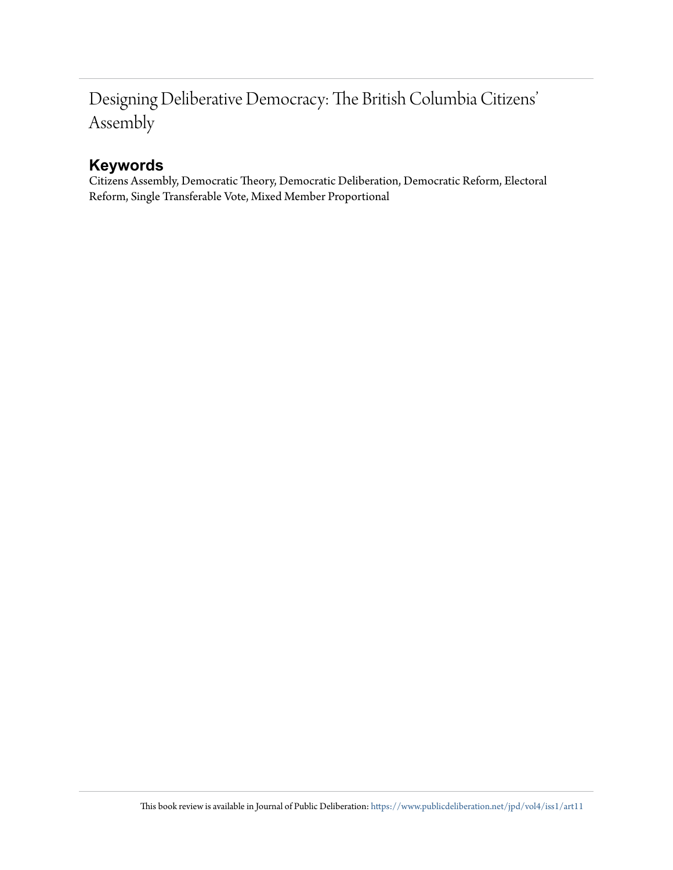## Designing Deliberative Democracy: The British Columbia Citizens' Assembly

## **Keywords**

Citizens Assembly, Democratic Theory, Democratic Deliberation, Democratic Reform, Electoral Reform, Single Transferable Vote, Mixed Member Proportional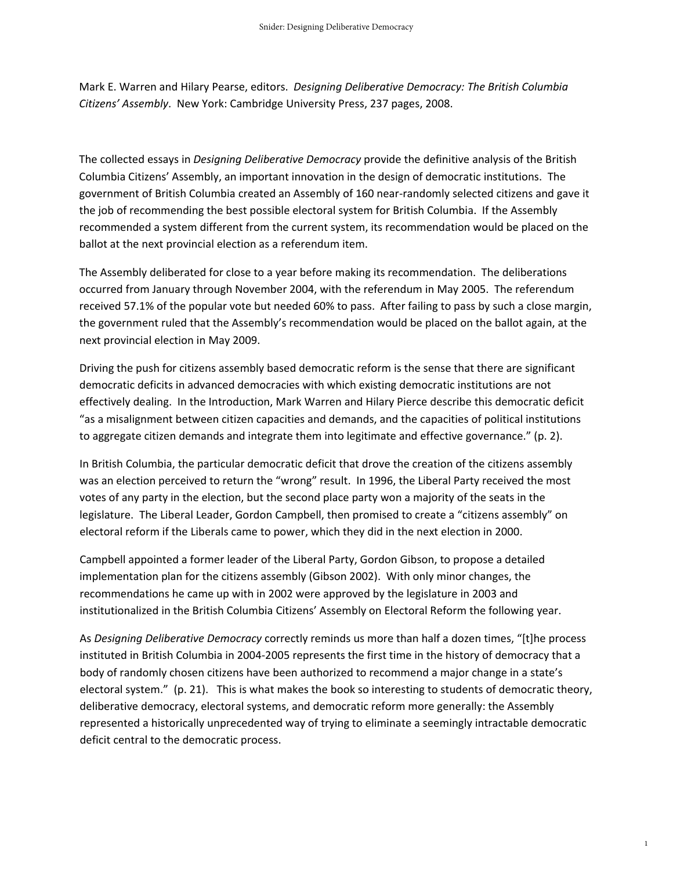Mark E. Warren and Hilary Pearse, editors. *Designing Deliberative Democracy: The British Columbia Citizens' Assembly*. New York: Cambridge University Press, 237 pages, 2008.

The collected essays in *Designing Deliberative Democracy* provide the definitive analysis of the British Columbia Citizens' Assembly, an important innovation in the design of democratic institutions. The government of British Columbia created an Assembly of 160 near-randomly selected citizens and gave it the job of recommending the best possible electoral system for British Columbia. If the Assembly recommended a system different from the current system, its recommendation would be placed on the ballot at the next provincial election as a referendum item.

The Assembly deliberated for close to a year before making its recommendation. The deliberations occurred from January through November 2004, with the referendum in May 2005. The referendum received 57.1% of the popular vote but needed 60% to pass. After failing to pass by such a close margin, the government ruled that the Assembly's recommendation would be placed on the ballot again, at the next provincial election in May 2009.

Driving the push for citizens assembly based democratic reform is the sense that there are significant democratic deficits in advanced democracies with which existing democratic institutions are not effectively dealing. In the Introduction, Mark Warren and Hilary Pierce describe this democratic deficit "as a misalignment between citizen capacities and demands, and the capacities of political institutions to aggregate citizen demands and integrate them into legitimate and effective governance." (p. 2).

In British Columbia, the particular democratic deficit that drove the creation of the citizens assembly was an election perceived to return the "wrong" result. In 1996, the Liberal Party received the most votes of any party in the election, but the second place party won a majority of the seats in the legislature. The Liberal Leader, Gordon Campbell, then promised to create a "citizens assembly" on electoral reform if the Liberals came to power, which they did in the next election in 2000.

Campbell appointed a former leader of the Liberal Party, Gordon Gibson, to propose a detailed implementation plan for the citizens assembly (Gibson 2002). With only minor changes, the recommendations he came up with in 2002 were approved by the legislature in 2003 and institutionalized in the British Columbia Citizens' Assembly on Electoral Reform the following year.

As *Designing Deliberative Democracy* correctly reminds us more than half a dozen times, "[t]he process instituted in British Columbia in 2004‐2005 represents the first time in the history of democracy that a body of randomly chosen citizens have been authorized to recommend a major change in a state's electoral system." (p. 21). This is what makes the book so interesting to students of democratic theory, deliberative democracy, electoral systems, and democratic reform more generally: the Assembly represented a historically unprecedented way of trying to eliminate a seemingly intractable democratic deficit central to the democratic process.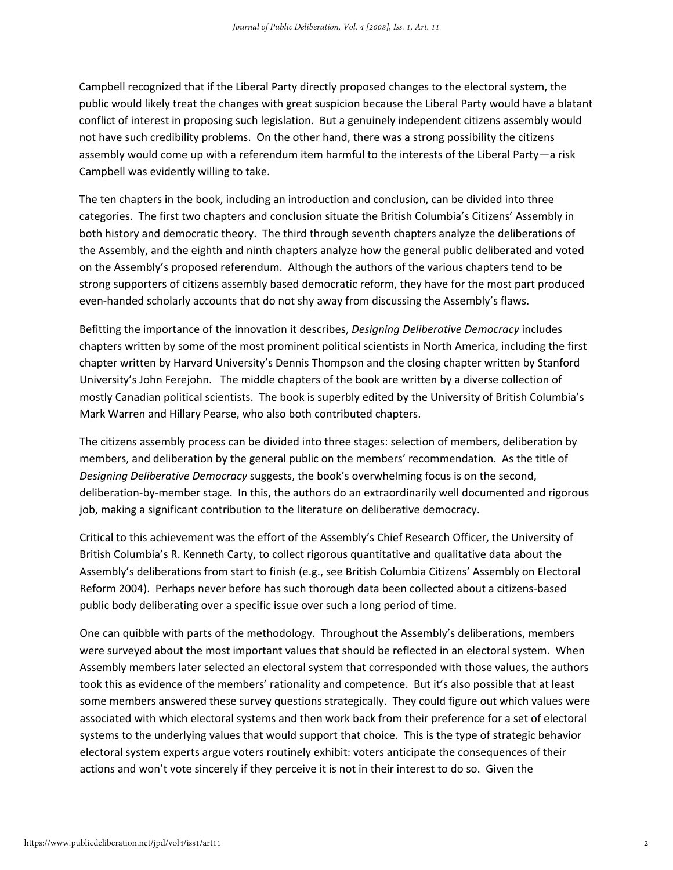Campbell recognized that if the Liberal Party directly proposed changes to the electoral system, the public would likely treat the changes with great suspicion because the Liberal Party would have a blatant conflict of interest in proposing such legislation. But a genuinely independent citizens assembly would not have such credibility problems. On the other hand, there was a strong possibility the citizens assembly would come up with a referendum item harmful to the interests of the Liberal Party—a risk Campbell was evidently willing to take.

The ten chapters in the book, including an introduction and conclusion, can be divided into three categories. The first two chapters and conclusion situate the British Columbia's Citizens' Assembly in both history and democratic theory. The third through seventh chapters analyze the deliberations of the Assembly, and the eighth and ninth chapters analyze how the general public deliberated and voted on the Assembly's proposed referendum. Although the authors of the various chapters tend to be strong supporters of citizens assembly based democratic reform, they have for the most part produced even-handed scholarly accounts that do not shy away from discussing the Assembly's flaws.

Befitting the importance of the innovation it describes, *Designing Deliberative Democracy* includes chapters written by some of the most prominent political scientists in North America, including the first chapter written by Harvard University's Dennis Thompson and the closing chapter written by Stanford University's John Ferejohn. The middle chapters of the book are written by a diverse collection of mostly Canadian political scientists. The book is superbly edited by the University of British Columbia's Mark Warren and Hillary Pearse, who also both contributed chapters.

The citizens assembly process can be divided into three stages: selection of members, deliberation by members, and deliberation by the general public on the members' recommendation. As the title of *Designing Deliberative Democracy* suggests, the book's overwhelming focus is on the second, deliberation‐by‐member stage. In this, the authors do an extraordinarily well documented and rigorous job, making a significant contribution to the literature on deliberative democracy.

Critical to this achievement was the effort of the Assembly's Chief Research Officer, the University of British Columbia's R. Kenneth Carty, to collect rigorous quantitative and qualitative data about the Assembly's deliberations from start to finish (e.g., see British Columbia Citizens' Assembly on Electoral Reform 2004). Perhaps never before has such thorough data been collected about a citizens‐based public body deliberating over a specific issue over such a long period of time.

One can quibble with parts of the methodology. Throughout the Assembly's deliberations, members were surveyed about the most important values that should be reflected in an electoral system. When Assembly members later selected an electoral system that corresponded with those values, the authors took this as evidence of the members' rationality and competence. But it's also possible that at least some members answered these survey questions strategically. They could figure out which values were associated with which electoral systems and then work back from their preference for a set of electoral systems to the underlying values that would support that choice. This is the type of strategic behavior electoral system experts argue voters routinely exhibit: voters anticipate the consequences of their actions and won't vote sincerely if they perceive it is not in their interest to do so. Given the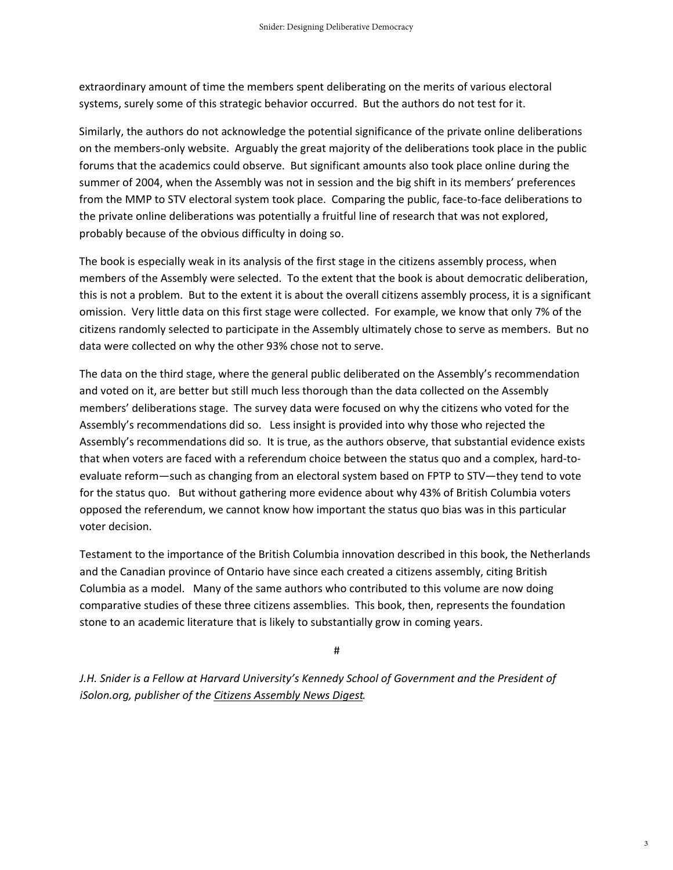extraordinary amount of time the members spent deliberating on the merits of various electoral systems, surely some of this strategic behavior occurred. But the authors do not test for it.

Similarly, the authors do not acknowledge the potential significance of the private online deliberations on the members‐only website. Arguably the great majority of the deliberations took place in the public forums that the academics could observe. But significant amounts also took place online during the summer of 2004, when the Assembly was not in session and the big shift in its members' preferences from the MMP to STV electoral system took place. Comparing the public, face-to-face deliberations to the private online deliberations was potentially a fruitful line of research that was not explored, probably because of the obvious difficulty in doing so.

The book is especially weak in its analysis of the first stage in the citizens assembly process, when members of the Assembly were selected. To the extent that the book is about democratic deliberation, this is not a problem. But to the extent it is about the overall citizens assembly process, it is a significant omission. Very little data on this first stage were collected. For example, we know that only 7% of the citizens randomly selected to participate in the Assembly ultimately chose to serve as members. But no data were collected on why the other 93% chose not to serve.

The data on the third stage, where the general public deliberated on the Assembly's recommendation and voted on it, are better but still much less thorough than the data collected on the Assembly members' deliberations stage. The survey data were focused on why the citizens who voted for the Assembly's recommendations did so. Less insight is provided into why those who rejected the Assembly's recommendations did so. It is true, as the authors observe, that substantial evidence exists that when voters are faced with a referendum choice between the status quo and a complex, hard-toevaluate reform—such as changing from an electoral system based on FPTP to STV—they tend to vote for the status quo. But without gathering more evidence about why 43% of British Columbia voters opposed the referendum, we cannot know how important the status quo bias was in this particular voter decision.

Testament to the importance of the British Columbia innovation described in this book, the Netherlands and the Canadian province of Ontario have since each created a citizens assembly, citing British Columbia as a model. Many of the same authors who contributed to this volume are now doing comparative studies of these three citizens assemblies. This book, then, represents the foundation stone to an academic literature that is likely to substantially grow in coming years.

#

*J.H. Snider is a Fellow at Harvard University's Kennedy School of Government and the President of iSolon.org, publisher of the Citizens Assembly News Digest.*